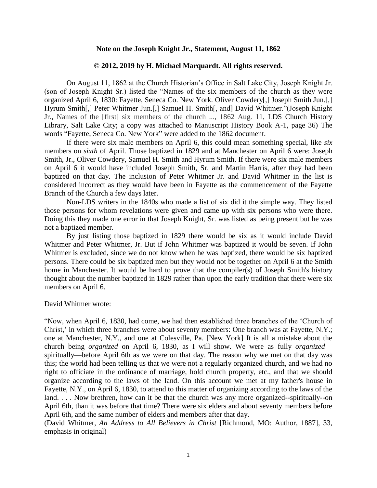## **Note on the Joseph Knight Jr., Statement, August 11, 1862**

## **© 2012, 2019 by H. Michael Marquardt. All rights reserved.**

On August 11, 1862 at the Church Historian's Office in Salt Lake City, Joseph Knight Jr. (son of Joseph Knight Sr.) listed the "Names of the six members of the church as they were organized April 6, 1830: Fayette, Seneca Co. New York. Oliver Cowdery[,] Joseph Smith Jun.[,] Hyrum Smith[,] Peter Whitmer Jun.[,] Samuel H. Smith[, and] David Whitmer."(Joseph Knight Jr., Names of the [first] six members of the church ..., 1862 Aug. 11, LDS Church History Library, Salt Lake City; a copy was attached to Manuscript History Book A-1, page 36) The words "Fayette, Seneca Co. New York" were added to the 1862 document.

If there were six male members on April 6, this could mean something special, like *six* members on *sixth* of April. Those baptized in 1829 and at Manchester on April 6 were: Joseph Smith, Jr., Oliver Cowdery, Samuel H. Smith and Hyrum Smith. If there were six male members on April 6 it would have included Joseph Smith, Sr. and Martin Harris, after they had been baptized on that day. The inclusion of Peter Whitmer Jr. and David Whitmer in the list is considered incorrect as they would have been in Fayette as the commencement of the Fayette Branch of the Church a few days later.

Non-LDS writers in the 1840s who made a list of six did it the simple way. They listed those persons for whom revelations were given and came up with six persons who were there. Doing this they made one error in that Joseph Knight, Sr. was listed as being present but he was not a baptized member.

By just listing those baptized in 1829 there would be six as it would include David Whitmer and Peter Whitmer, Jr. But if John Whitmer was baptized it would be seven. If John Whitmer is excluded, since we do not know when he was baptized, there would be six baptized persons. There could be six baptized men but they would not be together on April 6 at the Smith home in Manchester. It would be hard to prove that the compiler(s) of Joseph Smith's history thought about the number baptized in 1829 rather than upon the early tradition that there were six members on April 6.

David Whitmer wrote:

"Now, when April 6, 1830, had come, we had then established three branches of the 'Church of Christ,' in which three branches were about seventy members: One branch was at Fayette, N.Y.; one at Manchester, N.Y., and one at Colesville, Pa. [New York] It is all a mistake about the church being *organized* on April 6, 1830, as I will show. We were as fully *organized* spiritually—before April 6th as we were on that day. The reason why we met on that day was this; the world had been telling us that we were not a regularly organized church, and we had no right to officiate in the ordinance of marriage, hold church property, etc., and that we should organize according to the laws of the land. On this account we met at my father's house in Fayette, N.Y., on April 6, 1830, to attend to this matter of organizing according to the laws of the land. . . . Now brethren, how can it be that the church was any more organized--spiritually--on April 6th, than it was before that time? There were six elders and about seventy members before April 6th, and the same number of elders and members after that day.

(David Whitmer, *An Address to All Believers in Christ* [Richmond, MO: Author, 1887], 33, emphasis in original)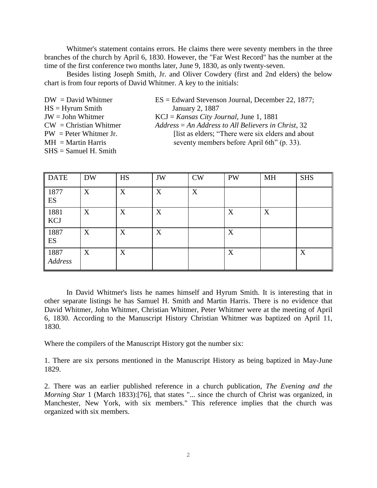Whitmer's statement contains errors. He claims there were seventy members in the three branches of the church by April 6, 1830. However, the "Far West Record" has the number at the time of the first conference two months later, June 9, 1830, as only twenty-seven.

Besides listing Joseph Smith, Jr. and Oliver Cowdery (first and 2nd elders) the below chart is from four reports of David Whitmer. A key to the initials:

 $HS = Hyrum Smith$  January 2, 1887 SHS = Samuel H. Smith

- $DW = David Whitmer$   $ES = Edward Stevenson Journal, December 22, 1877;$
- JW = John Whitmer KCJ = *Kansas City Journal*, June 1, 1881
- CW = Christian Whitmer *Address* = *An Address to All Believers in Christ*, 32  $PW = Peter Whitmer Jr.$  [list as elders; "There were six elders and about  $MH = Martin Harris$  seventy members before April 6th" (p. 33).

| <b>DATE</b>     | <b>DW</b> | HS | JW | <b>CW</b> | <b>PW</b> | <b>MH</b> | <b>SHS</b> |
|-----------------|-----------|----|----|-----------|-----------|-----------|------------|
| 1877<br>ES      | X         | X  | X  | X         |           |           |            |
| 1881<br>KCJ     | X         | X  | X  |           | X         | X         |            |
| 1887<br>ES      | X         | X  | X  |           | X         |           |            |
| 1887<br>Address | X         | X  |    |           | X         |           | X          |

In David Whitmer's lists he names himself and Hyrum Smith. It is interesting that in other separate listings he has Samuel H. Smith and Martin Harris. There is no evidence that David Whitmer, John Whitmer, Christian Whitmer, Peter Whitmer were at the meeting of April 6, 1830. According to the Manuscript History Christian Whitmer was baptized on April 11, 1830.

Where the compilers of the Manuscript History got the number six:

1. There are six persons mentioned in the Manuscript History as being baptized in May-June 1829.

2. There was an earlier published reference in a church publication, *The Evening and the Morning Star* 1 (March 1833):[76], that states "... since the church of Christ was organized, in Manchester, New York, with six members." This reference implies that the church was organized with six members.